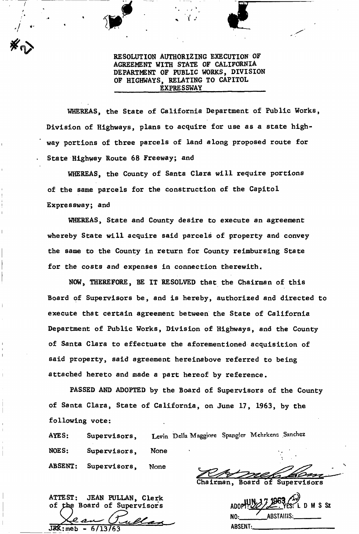RESOLUTION AUTHORIZING EXECUTION OF AGREEMENT WITH STATE OF CALIFORNIA DEPARTMENT OF PUBLIC WORKS, DIVISION OF HIGHWAYS, RELATING TO CAPITOL EXPRESSWAY

*w* 

/ *t* 

*4* 

WHEREAS, the State of California Department of Public Works, Division of Highways, plans to acquire for use as a state highway portions of three parcels of land along proposed route for State Highway Route 68 Freeway; and

WHEREAS, the County of Santa Clara will require portions of the same parcels for the construction of the Capitol Expressway; and

WHEREAS, State and County desire to execute an agreement whereby State will acquire said parcels of property and convey the same to the County in return for County reimbursing State for the costs and expenses in connection therewith.

NOW, THEREFORE, BE IT RESOLVED that the Chairman of this Board of Supervisors be, and is hereby, authorized and directed to execute that certain agreement between the State of California Department of Public Works, Division of Highways, and the County of Santa Clara to effectuate the aforementioned acquisition of said property, said agreement hereinabove referred to being attached hereto and made a part hereof by reference.

PASSED AND ADOPTED by the Board of Supervisors of the County of Santa Clara, State of California, on June 17, 1963, by the following vote:

AYES: Supervisors, Levin Della Maggiore Spangler Mchrkens Sanchez NOES: Supervisors, None ABSENT: Supervisors, None

ATTEST: JEAN PULLAN, Clerk<br>of the Board of Supervisors

JRK; me

airman, Board of Supervisors

**ABSTAINS** N٨ **ABSENT:**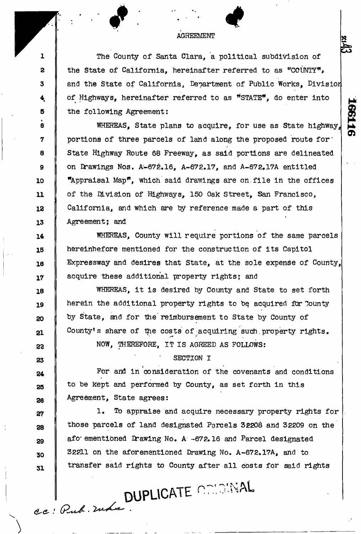## AGREEMENT

The County of Santa Clara, a political subdivision of the State of California, hereinafter referred to as "COUNTY\*, and the State of California, Department of Public Works, Division of Highways, hereinafter referred to as "STATE", do enter into the following Agreement:

91199

WHEREAS, State plans to acquire, for use as State highway,, portions of three parcels of land along the proposed route for' State Highway Route 68 Freeway, as said portions are delineated on Drawings Nos. A-672.16, A-672.17, and A-672.17A entitled "Appraisal Map", which said drawings are on. file in the offices of the Division of Highways, 150 Oak Street, San Francisco, California, and which are by reference made a part of this Agreement; and

WHEREAS, County will require portions of the same parcels hereinbefore mentioned for the construction of its Capitol Expressway and desires that State, at the sole expense of County, acquire these additional property rights; and

WHEREAS, it is desired by County and State to set forth herein the additional property rights to be acquired for County by State, and for the reimbursement to State by County of County's share of the costs of acquiring such property rights.

NOW, THEREFORE, IT IS AGREED AS FOLLOWS:

SECTION I

For and in consideration of the covenants and conditions to be kept and performed by County, as set forth in this Agreement, State agrees:

1. To appraise and acquire necessary property rights for those parcels of land designated Parcels 32208 and 32209 on the afo" ementibned Drawing No. A -672.16 and Parcel designated 32211 on the aforementioned Drawing No. A-672.17A, and to transfer said rights to County after all costs for said rights

ce : Pub. russe.

r

*2* 

 $\mathbf{1}$ 

**3** 

\*

**5**  • **6** 

**7** 

**8** 

**9** 

**10** 

**11** 

**12** 

**13** 

**14** 

**15** 

16

**17** 

**18** 

**19** 

**20** 

**21** 

*22* 

**23** 

**24** 

**25** 

**26** 

**27** 

**28** 

**29** 

**30** 

**31**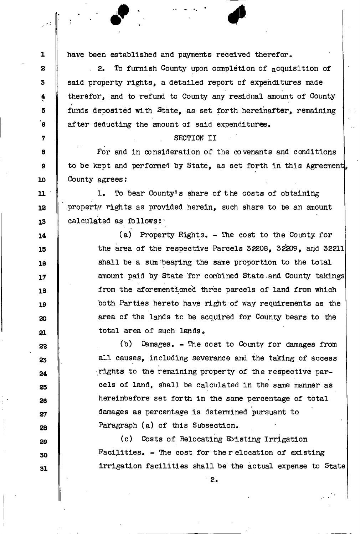have been established and payments received therefor.

1

**2** 

**3** 

**4**  \* **5** 

.<br>ອ

**7** 

**8** 

**9** 

**10** 

**11** 

12

**13** 

**14** 

**15** 

**18** 

**17** 

**18** 

**19** 

20

**21** 

**23** 

**23** 

**24** 

**25** 

**28** 

**27** 

**28** 

**29** 

**30** 

**31** 

. 2. To furnish County upon completion of acquisition of said property rights, a detailed report of expenditures made therefor, and to refund to County any residual amount of County funds deposited with State, as set forth hereinafter, remaining after deducting the amount of said expenditures.

## SECTION II

For and in consideration of the covenants and conditions to be kept and performed by State, as set forth in this Agreement, County agrees:

1. To bear County's share of the costs of obtaining property rights as provided herein, such share to be an amount calculated as follows?'

> (a) Property Rights. - The cost to the County for the area of the respective Parcels 3P208, 32209, and 32211 shall be a sum bearing the same proportion to the total amount paid by State for combined State.and County takings from the aforementioned three parcels of land from which both Parties hereto have right of way requirements as the area of the lands to be acquired for County bears to the total area of such lands.

(b) Damages. - The cost to County for damages from all causes, including severance and the taking of access rights to the remaining property of the respective pareels of land, shall be calculated in the same manner as hereinbefore set forth in the same percentage of total damages as percentage is determined pursuant to Paragraph  $(a)$  of this Subsection.

(c) Costs of Relocating Existing Irrigation.  $Facilities. - The cost for the reduction of existing$ irrigation facilities shall be the actual expense to State

irrigation facilities shall be the actual expense to  $\mathcal{L}_{\mathcal{A}}$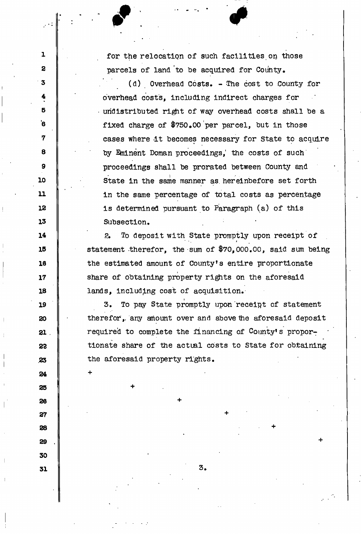for the relocation of such facilities on those parcels of land to be acquired for County.

1

**2** 

**3** 

**4** 

**5** 

'6

**7** 

**8** 

**9** 

**10** 

11

12

**13** 

**14** 

**15** 

16

**17** 

**18** 

**19** 

**20** 

**21** 

*22* 

**.23** 

**24** 

+

+

**25** 

**26** 

**27** 

**28** 

**29** 

**30** 

**31** 

(d) Overhead Costs. - The cost to County for overhead costs, including indirect charges for undistributed right of way overhead costs shall be a fixed charge of  $$750.00$  per parcel, but in those cases where it becomes necessary for state to acquire by Eminent Doman proceedings, the costs of such proceedings shall he prorated between County and State in the same manner as hereinbefore set forth in the same percentage of total costs as percentage is determined pursuant to Paragraph (a) of this Subsection,

To deposit with State promptly upon receipt of  $2.$ • - . *\**  statement therefor, the sum of \$70,000.00, said sum being the estimated amount of County's entire proportionate share of obtaining property rights on the aforesaid lands, including cost of acquisition.

To pay State promptly upon receipt of statement з. therefor, any amount over and above the aforesaid deposit required to complete the financing of County's proportionate share of the actual costs to State for obtaining the aforesaid property rights. the aforesaid property rights.

**3** 

+

+

+

+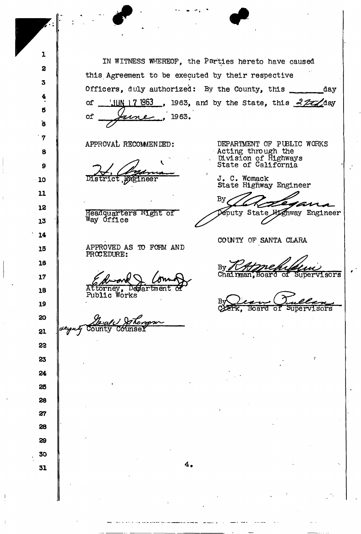IN WITNESS WHEREOF, the Parties hereto have caused this Agreement to be executed by their respective Officers, duly authorized: By the County, this \_\_\_\_\_\_\_\_ day of <u>Juny 17 1963</u>, 1963, and by the State, this extensional point of the state, this of Jane . 1963. APPROVAL RECOMMENDED: DEPARTMENT OP PUBLIC WORKS **8**  Acting through the . Division of Highways State of California *Jie*fineer J. C. Womack State Highway Engineer **11**  Вy 12 **Oeputy State Highway Engineer** Heaaquarters «ight or **Way** Office **13 14**  COUNTY OF SANTA CLARA APPROVED AS TO FORM AND **15**  PROCEDURE: **18**  By *Chtznefuldun*<br>Chairman, Board of Supervisors **17**  Devartment torney **18**  Public Works *^ ^ ^*  tfoarci or *supervisors*  20 county counser 21 **22 23 24 25 28 27 28 29 30**  *4* **31** 

1

**2** 

**3** 

**4** 

**5** 

'6

**7** 

**9** 

**10** 

**19**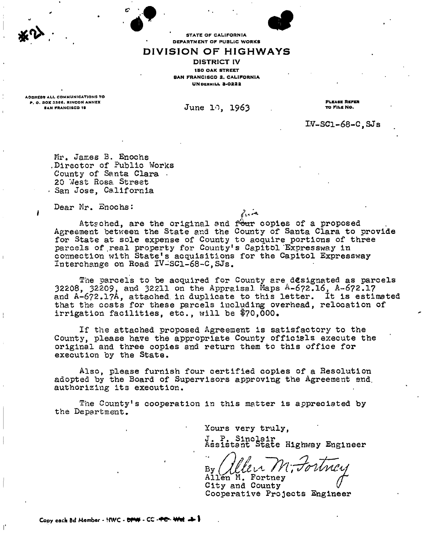STATE OF CALIFORNIA DEPARTMENT OF PUBLIC WORKS

## **DIVISION OF HIGHWAYS**

DISTRICT IV **IBO OAK STREET BAN FRANCISCO 2. CALIFORNIA** UNDHRHILL 3-0222

ADDRESS ALL COMMUNICATIONS TO P. O. DOX 3366. RINCON ANNEX<br>BAN FRANCISCO 19

June 10, 1963

PLKASS REFER TO FILB NO.

 $IV-SC1-68-C$ ,  $SJs$ 

Mr. James 3. Enochs .Director of Public Works County of Santa Clara • 20 West Rosa Street • San Jose, California

Dear Mr. Enochs:

Attsched, are the original and four copies of a proposed Agreement between the State and the County of Santa Clara to provide for State at sole expense of County to acquire portions of three parcels of real property for County's Capitol Expressway in connection with State's acquisitions for the Capitol Expressway Interchange on Road IV-SC1-68-C, SJs.

بصريرتهم

The parcels to be acquired for County are designated as parcels 32208, 32209, and 32211 on the Appraisal Maps *&-6?2.l6,* A-672.1? and A-672.17A, attached, in duplicate to this letter. It is estimated that the costs for these parcels including overhead, relocation of irrigation facilities, etc., will be \$70,000.

If the attached proposed Agreement is satisfactory to the County, please have the appropriate County officials execute the original and three copies and return them to this office for execution by the State.

Also, please furnish four certified copies of a Resolution adopted by the Board of Supervisors approving the Agreement and. authorising its execution.

The County's cooperation in this matter is appreciated by the Department.

Yours very truly,

 $J_{\bullet}$ ,  $P_{\bullet}$ Assistant State Highway Engineer

Allen M. Fortney City and County Cooperative Projects Engineer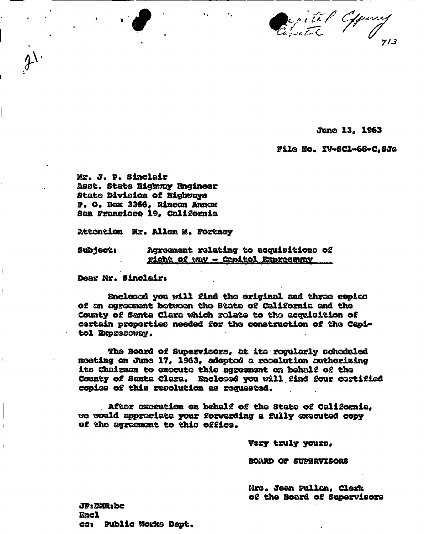Capital Channy

June 13, 1963

File No. IV-SC1-68-C.SJa

Mr. J. P. Sinclair Asst. State Highway Engineer State Division of Highways P. O. Box 3366. Rincon Annex San Francisco 19, California

Attention Mr. Allen M. Fortnev

Agreement relating to acquisitions of **Subject:** right of way - Capitol Empressway

Dear Mr. Sinclair:

Enclosed you will find the original and three copies of an agreement between the State of California and the County of Santa Clara which rolate to the acquisition of certain properties needed for the construction of the Capitol Expresoway.

The Board of Supervisors, at its regularly scheduled moeting on June 17, 1963, adopted a resolution authorizing its Chairman to execute this agreement on behalf of the County of Santa Clara. Enclosed you will find four cortified copies of this resolution as requested.

After execution on behalf of the State of California. we would appreciate your forwarding a fully executed copy of the agreement to this office.

Vory truly yours,

**BOARD OF SUPERVISORS** 

Mrs. Jean Pullan, Clerk of the Board of Supervisors

**JP: DUR: bc Encl** cc: Public Works Dept.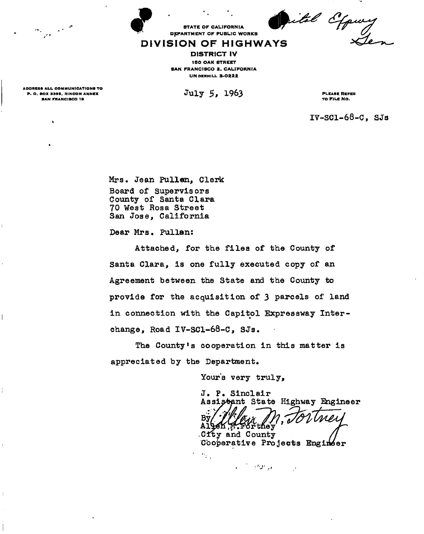rital Ofquey

## DEPARTMENT OF PUBLIC WORKS **DIVISION OF HIGHWAYS**

STATE OF CALIFORNIA

DISTRICT IV I SO OAK STREET SAN FRANCISCO 2. CALIFORNIA UNDERHILL 3-0222

July 5, 1963

PLEASE REFER TO FlLS NO.

IV-SC1-68-C, SJs

Mrs. Jean Pullan, Clerk Board of Supervisors County of Santa Clara 70 West Rosa Street San Jose, California

Dear Mrs, Pullan:

Attached, for the files of the County of Santa Clara, is one fully executed copy of an Agreement between the State and the County to provide for the acquisition of 3 parcels of land in connection with the Capitol Expressway Interchange, Road IV-SC1-68-C, SJs.

The County's cooperation in this matter is appreciated by the Department.

Yours very truly,

J. P. Sinclair Assistent State Highway Engineer Bν Allek T they City and County

Cooperative Projects Engineer  $\gamma_{\rm{th}}$ 

ان المرا**ف**ع الأمريكية

ADDRESS ALL COMMUNICATIONS TO<br>P. O. BOX 3356, RINCON ANNEX **BAN FRANCISCO 19** 

 $\lambda$ 

 $\mathbf{I}$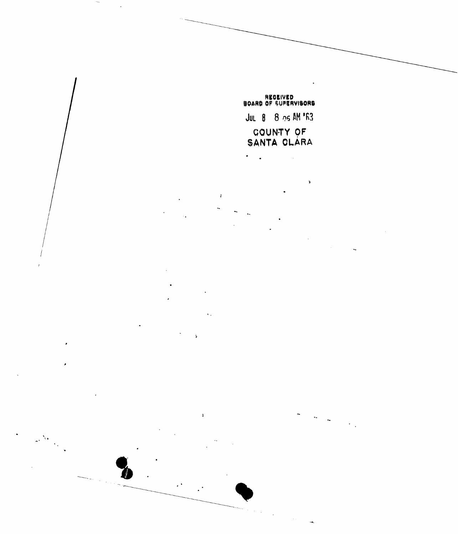REGEIVED<br>BOARD OF SUPERVISORS JUL 8 8 05 AM 'F3 COUNTY OF<br>SANTA CLARA

 $\mathbf{a}$ 

 $\ddot{\phantom{0}}$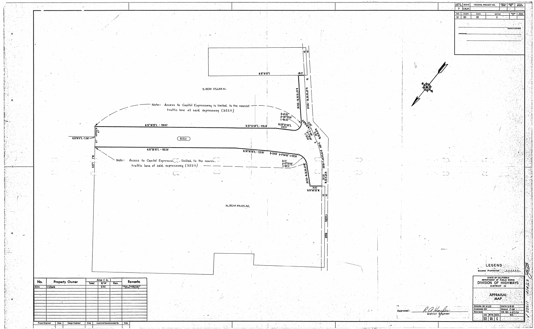

|                                | <b>B.P.R.</b><br>REG. No.<br>$\overline{7}$ | STATE<br>CALIF.      |                                  | FEDERAL PROJECT NO.                               | <b>FISCAL</b><br>YEAR<br>$\mathcal{X}(\mathcal{A}_\mathbf{a})$              | SHEET<br>$\mathcal{M}^{\text{max}}_{\text{max}}$ | TOTAL<br>SHEETS<br>$\mathcal{L}_{\mathcal{R}}$<br>$\sim 6.7$<br>sis i |
|--------------------------------|---------------------------------------------|----------------------|----------------------------------|---------------------------------------------------|-----------------------------------------------------------------------------|--------------------------------------------------|-----------------------------------------------------------------------|
|                                | DIST.<br>$\mathbf{N}$                       | <b>COUNTY</b><br>5C1 | <b>ROUTE</b><br>$\sqrt{3}$       | Linia.<br>Linia<br><b>SECTION</b><br>$\mathbf{c}$ | $\mathcal{C}^{(0)}$<br>$\mathcal{A}$ :<br>$\frac{1}{\sqrt{2}}$<br><b>TA</b> | $\bullet$<br>SHEET                               | TOTAL<br>SHEETS<br>÷.                                                 |
|                                |                                             |                      |                                  |                                                   |                                                                             |                                                  |                                                                       |
|                                |                                             |                      |                                  |                                                   |                                                                             | <b>DISTRICT ENGINEER</b>                         |                                                                       |
|                                |                                             | <b>APPROVED.</b>     |                                  |                                                   |                                                                             |                                                  |                                                                       |
|                                |                                             |                      |                                  |                                                   |                                                                             |                                                  |                                                                       |
|                                |                                             |                      |                                  |                                                   |                                                                             |                                                  |                                                                       |
|                                |                                             |                      |                                  |                                                   |                                                                             |                                                  |                                                                       |
|                                |                                             |                      |                                  |                                                   |                                                                             |                                                  |                                                                       |
|                                |                                             |                      |                                  |                                                   |                                                                             |                                                  |                                                                       |
|                                |                                             |                      |                                  |                                                   |                                                                             |                                                  |                                                                       |
|                                |                                             |                      |                                  |                                                   |                                                                             |                                                  |                                                                       |
|                                |                                             |                      |                                  |                                                   |                                                                             |                                                  |                                                                       |
|                                |                                             |                      |                                  |                                                   |                                                                             |                                                  |                                                                       |
|                                |                                             |                      |                                  |                                                   |                                                                             |                                                  |                                                                       |
|                                |                                             |                      |                                  |                                                   |                                                                             |                                                  |                                                                       |
|                                |                                             |                      |                                  |                                                   |                                                                             |                                                  |                                                                       |
|                                |                                             |                      |                                  |                                                   |                                                                             |                                                  |                                                                       |
|                                |                                             |                      |                                  |                                                   |                                                                             |                                                  |                                                                       |
|                                |                                             |                      |                                  |                                                   |                                                                             |                                                  |                                                                       |
|                                |                                             |                      |                                  |                                                   |                                                                             |                                                  |                                                                       |
|                                |                                             |                      |                                  |                                                   |                                                                             |                                                  |                                                                       |
|                                |                                             |                      |                                  |                                                   |                                                                             |                                                  |                                                                       |
|                                |                                             |                      |                                  |                                                   |                                                                             |                                                  |                                                                       |
|                                |                                             |                      |                                  |                                                   |                                                                             |                                                  |                                                                       |
|                                |                                             |                      |                                  |                                                   |                                                                             |                                                  |                                                                       |
|                                |                                             |                      |                                  |                                                   |                                                                             |                                                  |                                                                       |
|                                |                                             |                      |                                  |                                                   |                                                                             |                                                  |                                                                       |
|                                |                                             |                      |                                  |                                                   |                                                                             |                                                  |                                                                       |
|                                |                                             |                      |                                  |                                                   |                                                                             |                                                  |                                                                       |
|                                |                                             |                      |                                  |                                                   |                                                                             |                                                  |                                                                       |
|                                |                                             |                      |                                  |                                                   |                                                                             |                                                  |                                                                       |
|                                |                                             |                      |                                  |                                                   |                                                                             |                                                  |                                                                       |
|                                |                                             |                      |                                  |                                                   |                                                                             |                                                  |                                                                       |
|                                |                                             |                      |                                  | LEGEND                                            |                                                                             |                                                  |                                                                       |
|                                |                                             |                      | ACCI                             | Prohibited                                        |                                                                             |                                                  |                                                                       |
|                                |                                             |                      |                                  | STATE OF CALIFORNIA                               |                                                                             |                                                  |                                                                       |
|                                |                                             |                      |                                  | <b>DISTRICT NV</b>                                |                                                                             |                                                  |                                                                       |
|                                |                                             |                      |                                  | APPRAISAL                                         |                                                                             |                                                  |                                                                       |
|                                |                                             |                      |                                  | DRAWN BY H.LEE                                    |                                                                             | DATE 3-19-63                                     |                                                                       |
| Approved:<br>District Engineer |                                             |                      | CHECKED BY<br>REVISED            | 学院名                                               |                                                                             | SCALE T.100 5<br>DR. NO. A-11111A                |                                                                       |
|                                |                                             |                      | $\mathbf{F}$ .<br>$\mathbb{Q}^2$ | CO. RTE.SEC.<br>$ 301\rangle$<br>$\sqrt{6}$       |                                                                             |                                                  |                                                                       |
|                                |                                             |                      |                                  |                                                   |                                                                             |                                                  |                                                                       |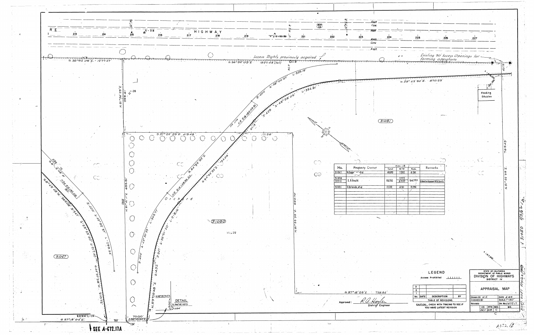

| Asph                       |                             |                      |                     |                                                                   |     |                             |                                                                   |                           |                        |
|----------------------------|-----------------------------|----------------------|---------------------|-------------------------------------------------------------------|-----|-----------------------------|-------------------------------------------------------------------|---------------------------|------------------------|
| $C$ <i>anc</i><br>Ason     |                             |                      |                     |                                                                   |     |                             |                                                                   |                           |                        |
| 223                        | 224                         |                      | 225                 |                                                                   | 226 | 227                         |                                                                   |                           |                        |
| Asnh<br>Conc               |                             |                      |                     |                                                                   |     |                             |                                                                   |                           |                        |
| Asph                       |                             |                      |                     |                                                                   |     |                             |                                                                   |                           |                        |
|                            |                             |                      |                     | Existing 30 Access Openings for                                   |     |                             |                                                                   |                           |                        |
|                            |                             |                      |                     |                                                                   |     |                             |                                                                   | ω                         |                        |
|                            |                             |                      |                     |                                                                   |     |                             | T <b>Q</b> T T T T                                                |                           |                        |
|                            |                             |                      |                     | 5.39°43'50'E. 570.23                                              |     |                             | $\Phi$                                                            |                           |                        |
|                            |                             |                      |                     |                                                                   |     |                             | 29                                                                |                           |                        |
|                            |                             |                      |                     |                                                                   |     |                             | Feeding<br>Stables                                                |                           |                        |
|                            |                             |                      |                     |                                                                   |     |                             |                                                                   |                           |                        |
|                            |                             |                      |                     |                                                                   |     |                             |                                                                   |                           |                        |
|                            | 3105/                       |                      |                     |                                                                   |     |                             |                                                                   |                           |                        |
|                            |                             |                      |                     |                                                                   |     |                             |                                                                   |                           |                        |
|                            |                             |                      |                     |                                                                   |     |                             |                                                                   |                           |                        |
|                            |                             |                      |                     |                                                                   |     |                             |                                                                   | W)                        |                        |
|                            |                             |                      |                     |                                                                   |     |                             |                                                                   | N<br>0                    |                        |
|                            |                             |                      |                     |                                                                   |     |                             |                                                                   |                           |                        |
|                            |                             | Area (Ac             | Ÿ.                  |                                                                   |     |                             |                                                                   |                           |                        |
| roperty Owner<br>migtal    | Total<br>48.693             | R/W<br>7.352         | Rem.<br>41.341      | Remarks                                                           |     | — پر –                      |                                                                   | Ψ,<br>Ω<br>Θ              |                        |
| uld                        | $\sim$ $\sim$<br>83.252     | $\frac{1111}{5.137}$ | 74.793              | Co-Operative Agreement With County                                |     |                             |                                                                   | 22                        |                        |
| <u>do, et al </u>          | 17.122                      | 4.161                | 12.296              |                                                                   |     |                             |                                                                   | S<br>ぇ                    |                        |
| $\pm$                      | $\mathcal{L}_{\mathcal{A}}$ |                      |                     | × .                                                               |     |                             |                                                                   |                           |                        |
|                            |                             | $\prime$             |                     |                                                                   |     |                             |                                                                   |                           |                        |
|                            |                             |                      |                     |                                                                   |     |                             |                                                                   |                           |                        |
|                            |                             |                      | $\sigma_{\rm{max}}$ |                                                                   |     |                             |                                                                   |                           |                        |
|                            |                             |                      |                     |                                                                   |     |                             |                                                                   |                           |                        |
|                            |                             |                      |                     |                                                                   |     |                             |                                                                   |                           |                        |
|                            |                             |                      |                     |                                                                   |     |                             |                                                                   |                           |                        |
|                            |                             |                      |                     |                                                                   |     |                             |                                                                   |                           |                        |
|                            |                             |                      |                     |                                                                   |     |                             | <b>HISTISS</b>                                                    |                           |                        |
|                            |                             |                      |                     |                                                                   |     |                             |                                                                   |                           |                        |
|                            |                             |                      |                     |                                                                   |     |                             | STATE OF CALIFORNIA                                               |                           |                        |
|                            |                             |                      |                     | LEGEND<br>Access Prohibited                                       |     |                             | DEPARTMENT OF PUBLIC WORKS<br>DIVISION OF HIGHWAYS<br>DISTRICT IV |                           |                        |
|                            |                             |                      | 3 <sub>1</sub>      |                                                                   |     |                             |                                                                   |                           |                        |
| $15^{'}25^{''}E$<br>738.94 |                             |                      | $\mathbf{2}$        |                                                                   | ᢏ   |                             | APPRAISAL                                                         | <b>MAP</b>                |                        |
|                            |                             |                      |                     | <b>DESCRIPTION</b><br>No DATE<br>TABLE OF REVISIONS               | BY  | DRAWN BY W.H.<br>CHECKED BY |                                                                   | DATE 4-62<br>SCALE /" 50' |                        |
| District Engineer          |                             |                      |                     | CAUTION: CHECK WITH TRACING TO SEE IF<br>YOU HAVE LATEST REVISION |     | REVISED                     | RTE. SEC.<br>CO.                                                  |                           | DR. No. 4672.17<br>NO. |
|                            |                             |                      |                     |                                                                   |     |                             |                                                                   |                           |                        |
|                            |                             |                      |                     |                                                                   |     |                             | 68<br>$\mathcal{L}_{\mathcal{L}}$<br>SCI.                         |                           |                        |